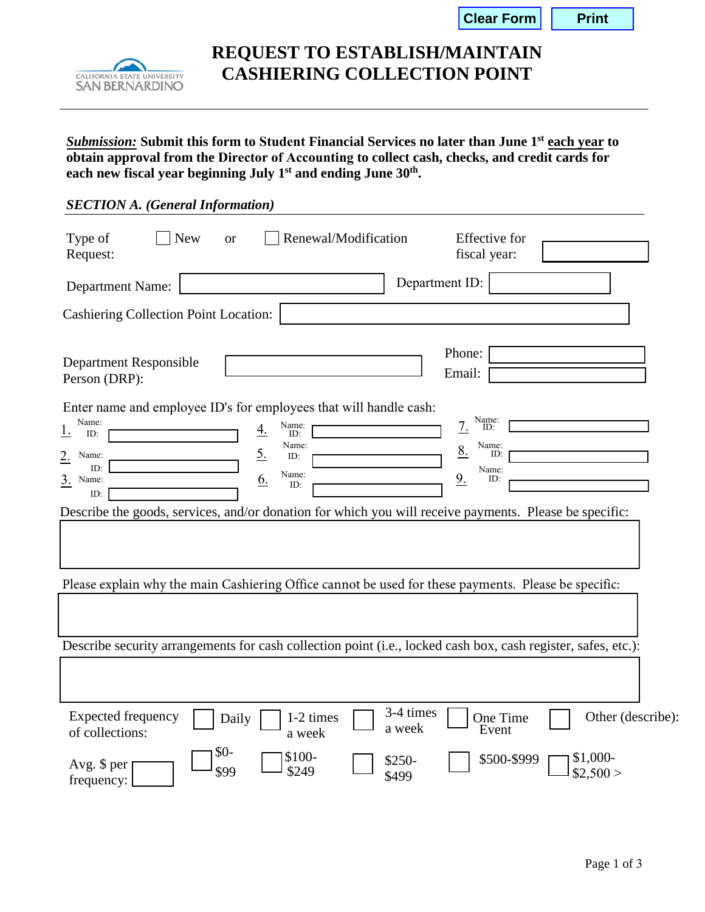| Clear Form |
|------------|
|------------|

**Print** 



**REQUEST TO ESTABLISH/MAINTAIN CASHIERING COLLECTION POINT** 

*Submission:* **Submit this form to Student Financial Services no later than June 1 st each year to obtain approval from the Director of Accounting to collect cash, checks, and credit cards for each new fiscal year beginning July 1st and ending June 30th .** 

| <b>SECTION A.</b> (General Information)                                                                                                                                                                                                                                                                                                                                                                              |
|----------------------------------------------------------------------------------------------------------------------------------------------------------------------------------------------------------------------------------------------------------------------------------------------------------------------------------------------------------------------------------------------------------------------|
| <b>New</b><br>Renewal/Modification<br>Type of<br><b>Effective</b> for<br><b>or</b><br>fiscal year:<br>Request:                                                                                                                                                                                                                                                                                                       |
| Department ID:<br><b>Department Name:</b>                                                                                                                                                                                                                                                                                                                                                                            |
| <b>Cashiering Collection Point Location:</b>                                                                                                                                                                                                                                                                                                                                                                         |
| Phone:<br><b>Department Responsible</b><br>Email:<br>Person (DRP):                                                                                                                                                                                                                                                                                                                                                   |
| Enter name and employee ID's for employees that will handle cash:<br>Name:<br>ID:<br>Name:<br>7.<br>Name:<br>4.<br>1.<br>ID:<br>ID:<br>Name:<br>Name:<br><u>8.</u><br>$\underline{5}$ .<br>ID:<br>Name:<br>$2_{\cdot}$<br>ID:<br>ID:<br>Name:<br>Name:<br>9.<br><u>6.</u><br>3. Name:<br>ID:<br>ID:<br>ID:<br>Describe the goods, services, and/or donation for which you will receive payments. Please be specific: |
| Please explain why the main Cashiering Office cannot be used for these payments. Please be specific:                                                                                                                                                                                                                                                                                                                 |
|                                                                                                                                                                                                                                                                                                                                                                                                                      |
| Describe security arrangements for cash collection point (i.e., locked cash box, cash register, safes, etc.):                                                                                                                                                                                                                                                                                                        |
|                                                                                                                                                                                                                                                                                                                                                                                                                      |
| 3-4 times<br><b>Expected frequency</b><br>Other (describe):<br>1-2 times<br>One Time<br>Daily<br>a week<br>Event<br>of collections:<br>a week                                                                                                                                                                                                                                                                        |
| $$0-$<br>\$100-<br>\$1,000-<br>\$500-\$999<br>$$250-$<br>Avg. \$ per<br>\$99<br>\$249<br>\$2,500><br>\$499<br>frequency:                                                                                                                                                                                                                                                                                             |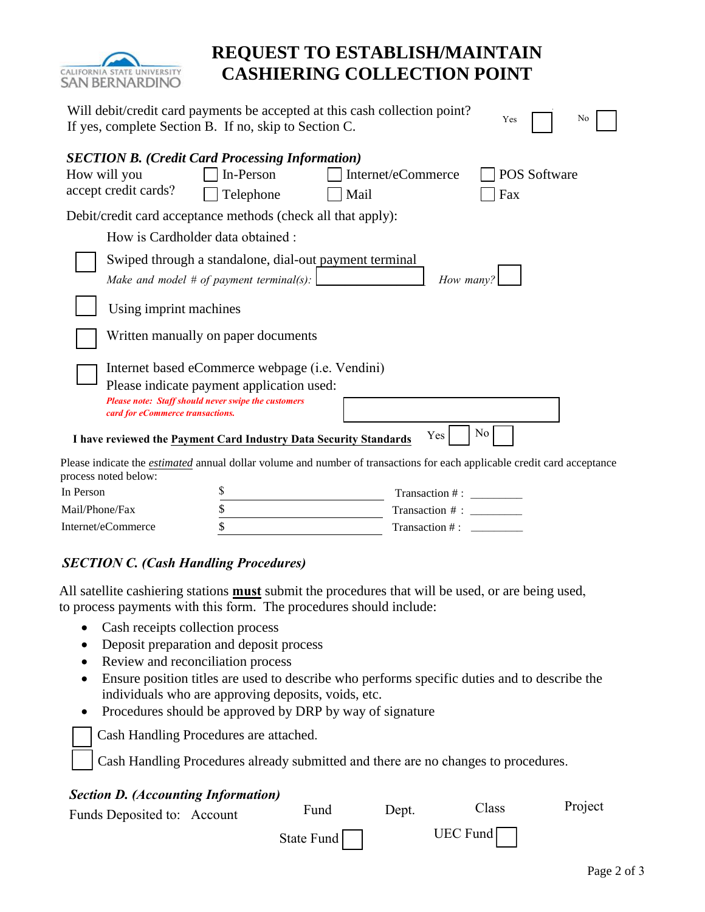

# **REQUEST TO ESTABLISH/MAINTAIN CASHIERING COLLECTION POINT**

| Will debit/credit card payments be accepted at this cash collection point?<br>No<br>Yes<br>If yes, complete Section B. If no, skip to Section C. |                                                                                                    |                                                                                                                                 |              |  |  |
|--------------------------------------------------------------------------------------------------------------------------------------------------|----------------------------------------------------------------------------------------------------|---------------------------------------------------------------------------------------------------------------------------------|--------------|--|--|
| <b>SECTION B.</b> (Credit Card Processing Information)<br>How will you                                                                           | In-Person                                                                                          | Internet/eCommerce                                                                                                              | POS Software |  |  |
| accept credit cards?                                                                                                                             | Telephone                                                                                          | Mail                                                                                                                            | Fax          |  |  |
| Debit/credit card acceptance methods (check all that apply):                                                                                     |                                                                                                    |                                                                                                                                 |              |  |  |
|                                                                                                                                                  | How is Cardholder data obtained :                                                                  |                                                                                                                                 |              |  |  |
|                                                                                                                                                  | Swiped through a standalone, dial-out payment terminal<br>Make and model # of payment terminal(s): | How many?                                                                                                                       |              |  |  |
| Using imprint machines                                                                                                                           |                                                                                                    |                                                                                                                                 |              |  |  |
|                                                                                                                                                  | Written manually on paper documents                                                                |                                                                                                                                 |              |  |  |
|                                                                                                                                                  | Internet based eCommerce webpage (i.e. Vendini)                                                    |                                                                                                                                 |              |  |  |
|                                                                                                                                                  | Please indicate payment application used:                                                          |                                                                                                                                 |              |  |  |
| card for eCommerce transactions.                                                                                                                 | Please note: Staff should never swipe the customers                                                |                                                                                                                                 |              |  |  |
| I have reviewed the Payment Card Industry Data Security Standards                                                                                |                                                                                                    | Yes                                                                                                                             | No           |  |  |
| process noted below:                                                                                                                             |                                                                                                    | Please indicate the <i>estimated</i> annual dollar volume and number of transactions for each applicable credit card acceptance |              |  |  |
| In Person                                                                                                                                        | \$                                                                                                 | Transaction #:                                                                                                                  |              |  |  |
| Mail/Phone/Fax                                                                                                                                   | \$                                                                                                 | Transaction # :                                                                                                                 |              |  |  |
| Internet/eCommerce                                                                                                                               | \$                                                                                                 | Transaction #:                                                                                                                  |              |  |  |

### *SECTION C. (Cash Handling Procedures)*

All satellite cashiering stations **must** submit the procedures that will be used, or are being used, to process payments with this form. The procedures should include:

- Cash receipts collection process
- Deposit preparation and deposit process
- Review and reconciliation process
- Ensure position titles are used to describe who performs specific duties and to describe the individuals who are approving deposits, voids, etc.
- Procedures should be approved by DRP by way of signature

Cash Handling Procedures are attached.

Cash Handling Procedures already submitted and there are no changes to procedures.

#### *Section D. (Accounting Information)*

| Funds Deposited to: Account | Fund       | Dent. | Class      | Project |
|-----------------------------|------------|-------|------------|---------|
|                             | State Fund |       | $UEC$ Fund |         |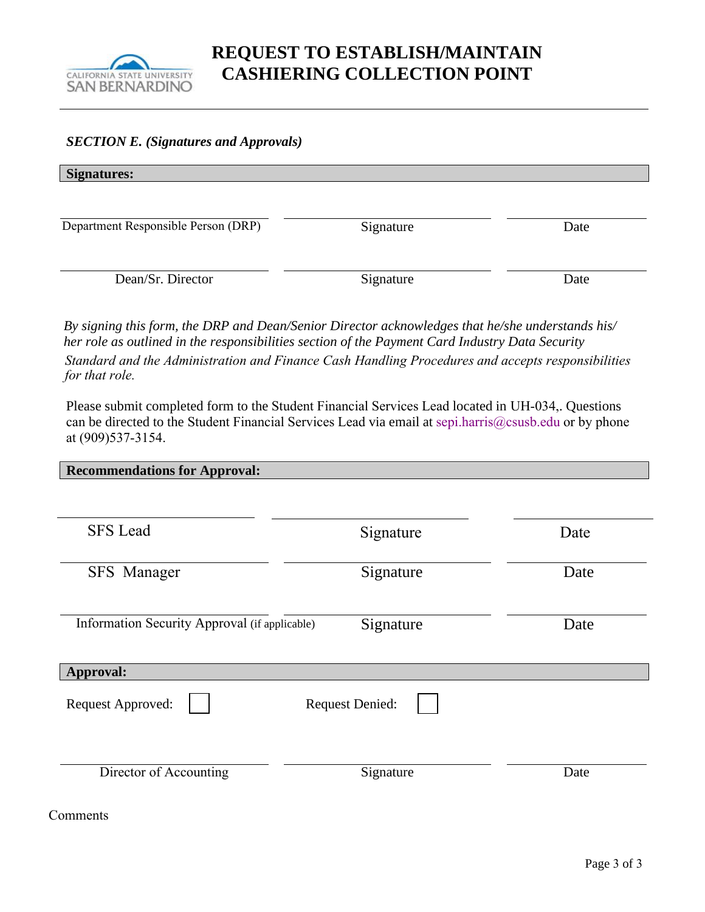

#### *SECTION E. (Signatures and Approvals)*

| <b>Signatures:</b>                  |           |      |
|-------------------------------------|-----------|------|
| Department Responsible Person (DRP) | Signature | Date |
| Dean/Sr. Director                   | Signature | Date |

*By signing this form, the DRP and Dean/Senior Director acknowledges that he/she understands his/ her role as outlined in the responsibilities section of the Payment Card Industry Data Security Standard and the Administration and Finance Cash Handling Procedures and accepts responsibilities for that role.* 

Please submit completed form to the Student Financial Services Lead located in UH-034,. Questions can be directed to the Student Financial Services Lead via email at sepi.harris@csusb.edu or by phone at (909)537-3154.

| <b>Recommendations for Approval:</b>          |           |      |  |  |
|-----------------------------------------------|-----------|------|--|--|
|                                               |           |      |  |  |
| <b>SFS</b> Lead                               | Signature | Date |  |  |
| <b>SFS</b> Manager                            | Signature | Date |  |  |
| Information Security Approval (if applicable) | Signature | Date |  |  |
| Approval:                                     |           |      |  |  |
| <b>Request Denied:</b><br>Request Approved:   |           |      |  |  |
| Director of Accounting                        | Signature | Date |  |  |

Comments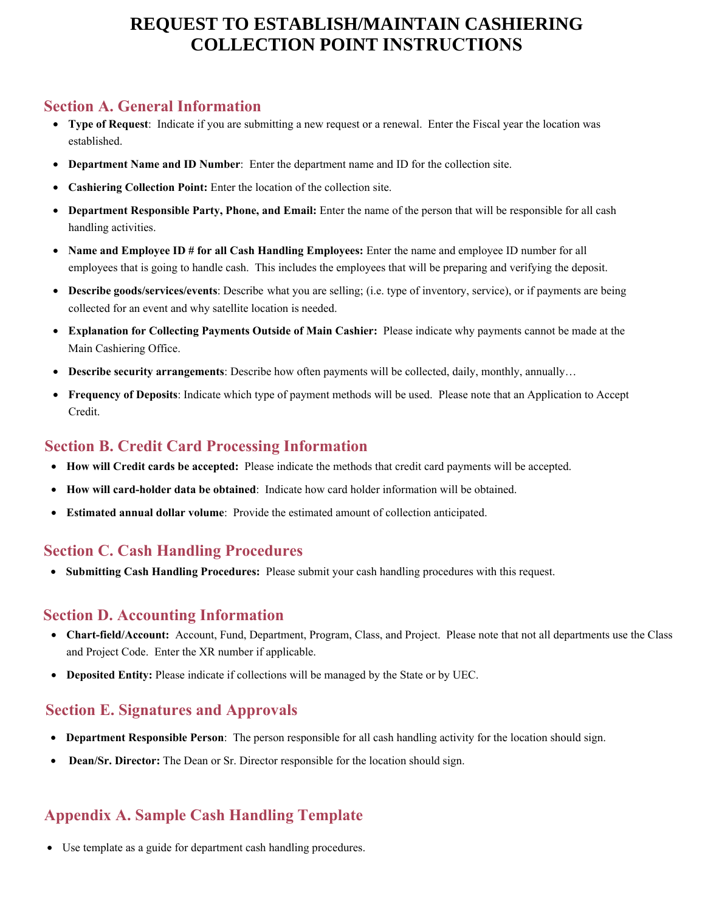# **REQUEST TO ESTABLISH/MAINTAIN CASHIERING COLLECTION POINT INSTRUCTIONS**

### **Section A. General Information**

- **Type of Request**: Indicate if you are submitting a new request or a renewal. Enter the Fiscal year the location was established.
- **Department Name and ID Number**: Enter the department name and ID for the collection site.
- **Cashiering Collection Point:** Enter the location of the collection site.
- **Department Responsible Party, Phone, and Email:** Enter the name of the person that will be responsible for all cash handling activities.
- **Name and Employee ID # for all Cash Handling Employees:** Enter the name and employee ID number for all employees that is going to handle cash. This includes the employees that will be preparing and verifying the deposit.
- **Describe goods/services/events**: Describe what you are selling; (i.e. type of inventory, service), or if payments are being collected for an event and why satellite location is needed.
- **Explanation for Collecting Payments Outside of Main Cashier:** Please indicate why payments cannot be made at the Main Cashiering Office.
- **Describe security arrangements**: Describe how often payments will be collected, daily, monthly, annually…
- **Frequency of Deposits**: Indicate which type of payment methods will be used. Please note that an Application to Accept Credit.

## **Section B. Credit Card Processing Information**

- **How will Credit cards be accepted:** Please indicate the methods that credit card payments will be accepted.
- **How will card-holder data be obtained**: Indicate how card holder information will be obtained.
- **Estimated annual dollar volume**: Provide the estimated amount of collection anticipated.

## **Section C. Cash Handling Procedures**

• **Submitting Cash Handling Procedures:** Please submit your cash handling procedures with this request.

### **Section D. Accounting Information**

- **Chart-field/Account:** Account, Fund, Department, Program, Class, and Project. Please note that not all departments use the Class and Project Code. Enter the XR number if applicable.
- **Deposited Entity:** Please indicate if collections will be managed by the State or by UEC.

### **Section E. Signatures and Approvals**

- **Department Responsible Person**: The person responsible for all cash handling activity for the location should sign.
- **Dean/Sr. Director:** The Dean or Sr. Director responsible for the location should sign.

## **Appendix A. Sample Cash Handling Template**

• Use template as a guide for department cash handling procedures.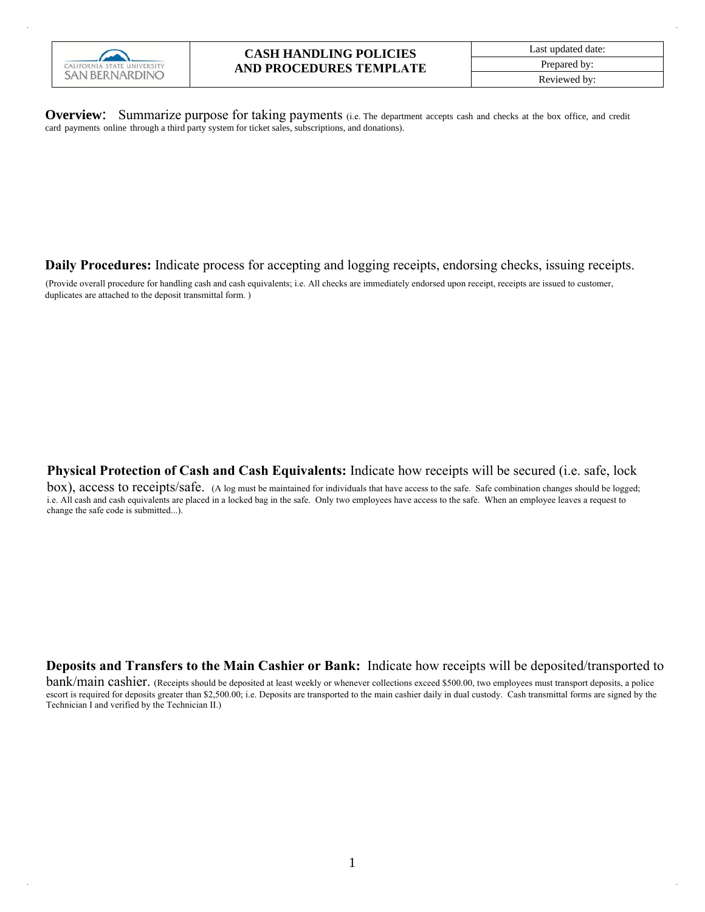

**Overview:** Summarize purpose for taking payments (i.e. The department accepts cash and checks at the box office, and credit card payments online through a third party system for ticket sales, subscriptions, and donations).

**Daily Procedures:** Indicate process for accepting and logging receipts, endorsing checks, issuing receipts.

(Provide overall procedure for handling cash and cash equivalents; i.e. All checks are immediately endorsed upon receipt, receipts are issued to customer, duplicates are attached to the deposit transmittal form. )

**Physical Protection of Cash and Cash Equivalents:** Indicate how receipts will be secured (i.e. safe, lock

box), access to receipts/safe. (A log must be maintained for individuals that have access to the safe. Safe combination changes should be logged; i.e. All cash and cash equivalents are placed in a locked bag in the safe. Only two employees have access to the safe. When an employee leaves a request to change the safe code is submitted...).

**Deposits and Transfers to the Main Cashier or Bank:** Indicate how receipts will be deposited/transported to

bank/main cashier. (Receipts should be deposited at least weekly or whenever collections exceed \$500.00, two employees must transport deposits, a police escort is required for deposits greater than \$2,500.00; i.e. Deposits are transported to the main cashier daily in dual custody. Cash transmittal forms are signed by the Technician I and verified by the Technician II.)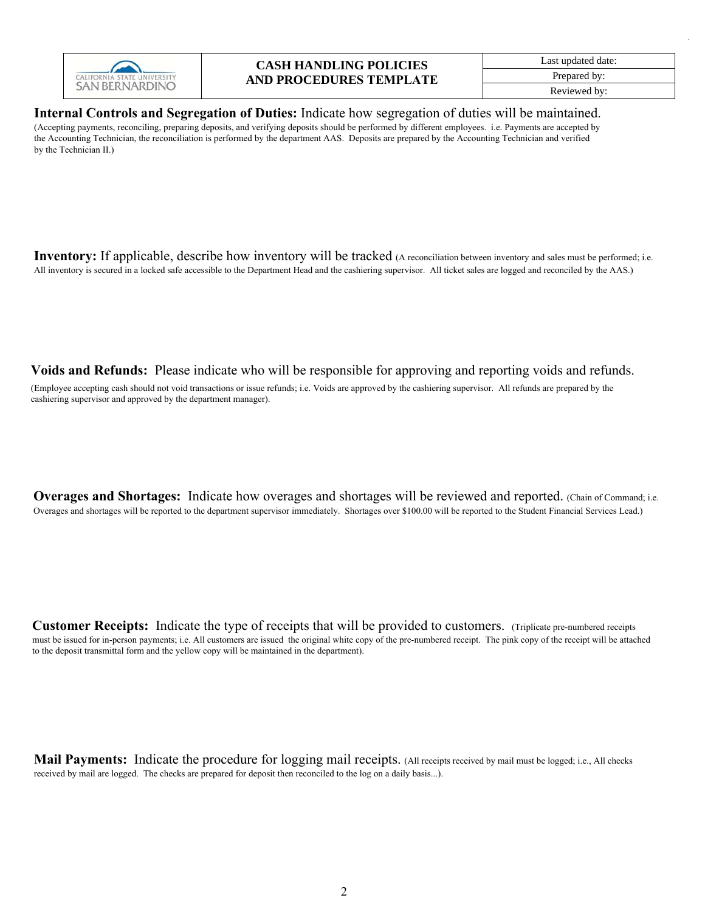

#### **CASH HANDLING POLICIES AND PROCEDURES TEMPLATE**

Last updated date: Prepared by: Reviewed by:

**Internal Controls and Segregation of Duties:** Indicate how segregation of duties will be maintained. (Accepting payments, reconciling, preparing deposits, and verifying deposits should be performed by different employees. i.e. Payments are accepted by the Accounting Technician, the reconciliation is performed by the department AAS. Deposits are prepared by the Accounting Technician and verified by the Technician II.)

**Inventory:** If applicable, describe how inventory will be tracked (A reconciliation between inventory and sales must be performed; i.e. All inventory is secured in a locked safe accessible to the Department Head and the cashiering supervisor. All ticket sales are logged and reconciled by the AAS.)

**Voids and Refunds:** Please indicate who will be responsible for approving and reporting voids and refunds.

(Employee accepting cash should not void transactions or issue refunds; i.e. Voids are approved by the cashiering supervisor. All refunds are prepared by the cashiering supervisor and approved by the department manager).

**Overages and Shortages:** Indicate how overages and shortages will be reviewed and reported. (Chain of Command; i.e. Overages and shortages will be reported to the department supervisor immediately. Shortages over \$100.00 will be reported to the Student Financial Services Lead.)

**Customer Receipts:** Indicate the type of receipts that will be provided to customers. (Triplicate pre-numbered receipts must be issued for in-person payments; i.e. All customers are issued the original white copy of the pre-numbered receipt. The pink copy of the receipt will be attached to the deposit transmittal form and the yellow copy will be maintained in the department).

**Mail Payments:** Indicate the procedure for logging mail receipts. (All receipts received by mail must be logged; i.e., All checks received by mail are logged. The checks are prepared for deposit then reconciled to the log on a daily basis...).